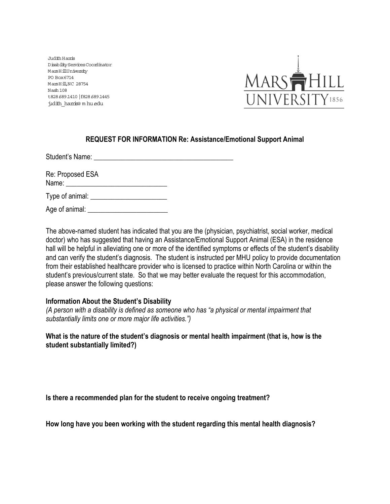Judith Harris Disability Services Coordinator Mars HillUniversity PO Box 6714 MarsHill, NC 28754 Nash 108 t828.689.1410 |f828.689.1445 judith\_harris@ m hu.edu



## **REQUEST FOR INFORMATION Re: Assistance/Emotional Support Animal**

Student's Name: **Example 2018** 

Re: Proposed ESA Name: Type of animal:

Age of animal: \_\_\_\_\_\_\_\_\_\_\_\_\_\_\_\_\_\_\_\_\_\_\_

The above-named student has indicated that you are the (physician, psychiatrist, social worker, medical doctor) who has suggested that having an Assistance/Emotional Support Animal (ESA) in the residence hall will be helpful in alleviating one or more of the identified symptoms or effects of the student's disability and can verify the student's diagnosis. The student is instructed per MHU policy to provide documentation from their established healthcare provider who is licensed to practice within North Carolina or within the student's previous/current state. So that we may better evaluate the request for this accommodation, please answer the following questions:

## **Information About the Student's Disability**

*(A person with a disability is defined as someone who has "a physical or mental impairment that substantially limits one or more major life activities.")* 

**What is the nature of the student's diagnosis or mental health impairment (that is, how is the student substantially limited?)** 

**Is there a recommended plan for the student to receive ongoing treatment?** 

**How long have you been working with the student regarding this mental health diagnosis?**